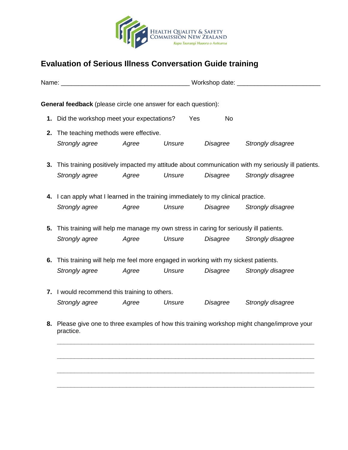

## **Evaluation of Serious Illness Conversation Guide training**

|                                                                                                           | <b>General feedback</b> (please circle one answer for each question):                 |                                                                                                      |        |                 |                   |  |  |  |  |
|-----------------------------------------------------------------------------------------------------------|---------------------------------------------------------------------------------------|------------------------------------------------------------------------------------------------------|--------|-----------------|-------------------|--|--|--|--|
|                                                                                                           | 1. Did the workshop meet your expectations?                                           |                                                                                                      |        | Yes<br>No       |                   |  |  |  |  |
|                                                                                                           | 2. The teaching methods were effective.                                               |                                                                                                      |        |                 |                   |  |  |  |  |
|                                                                                                           | Strongly agree                                                                        | Agree                                                                                                | Unsure | <b>Disagree</b> | Strongly disagree |  |  |  |  |
|                                                                                                           |                                                                                       | 3. This training positively impacted my attitude about communication with my seriously ill patients. |        |                 |                   |  |  |  |  |
|                                                                                                           | Strongly agree                                                                        | Agree                                                                                                | Unsure | Disagree        | Strongly disagree |  |  |  |  |
|                                                                                                           | 4. I can apply what I learned in the training immediately to my clinical practice.    |                                                                                                      |        |                 |                   |  |  |  |  |
|                                                                                                           | Strongly agree                                                                        | Agree                                                                                                | Unsure | Disagree        | Strongly disagree |  |  |  |  |
| 5.                                                                                                        | This training will help me manage my own stress in caring for seriously ill patients. |                                                                                                      |        |                 |                   |  |  |  |  |
|                                                                                                           | Strongly agree                                                                        | Agree                                                                                                | Unsure | Disagree        | Strongly disagree |  |  |  |  |
|                                                                                                           | 6. This training will help me feel more engaged in working with my sickest patients.  |                                                                                                      |        |                 |                   |  |  |  |  |
|                                                                                                           | Strongly agree                                                                        | Agree                                                                                                | Unsure | Disagree        | Strongly disagree |  |  |  |  |
|                                                                                                           | 7. I would recommend this training to others.                                         |                                                                                                      |        |                 |                   |  |  |  |  |
|                                                                                                           | Strongly agree                                                                        | Agree                                                                                                | Unsure | Disagree        | Strongly disagree |  |  |  |  |
| 8. Please give one to three examples of how this training workshop might change/improve your<br>practice. |                                                                                       |                                                                                                      |        |                 |                   |  |  |  |  |
|                                                                                                           |                                                                                       |                                                                                                      |        |                 |                   |  |  |  |  |
|                                                                                                           |                                                                                       |                                                                                                      |        |                 |                   |  |  |  |  |
|                                                                                                           |                                                                                       |                                                                                                      |        |                 |                   |  |  |  |  |

**\_\_\_\_\_\_\_\_\_\_\_\_\_\_\_\_\_\_\_\_\_\_\_\_\_\_\_\_\_\_\_\_\_\_\_\_\_\_\_\_\_\_\_\_\_\_\_\_\_\_\_\_\_\_\_\_\_\_\_\_\_\_\_\_\_\_\_\_\_\_\_\_\_\_**